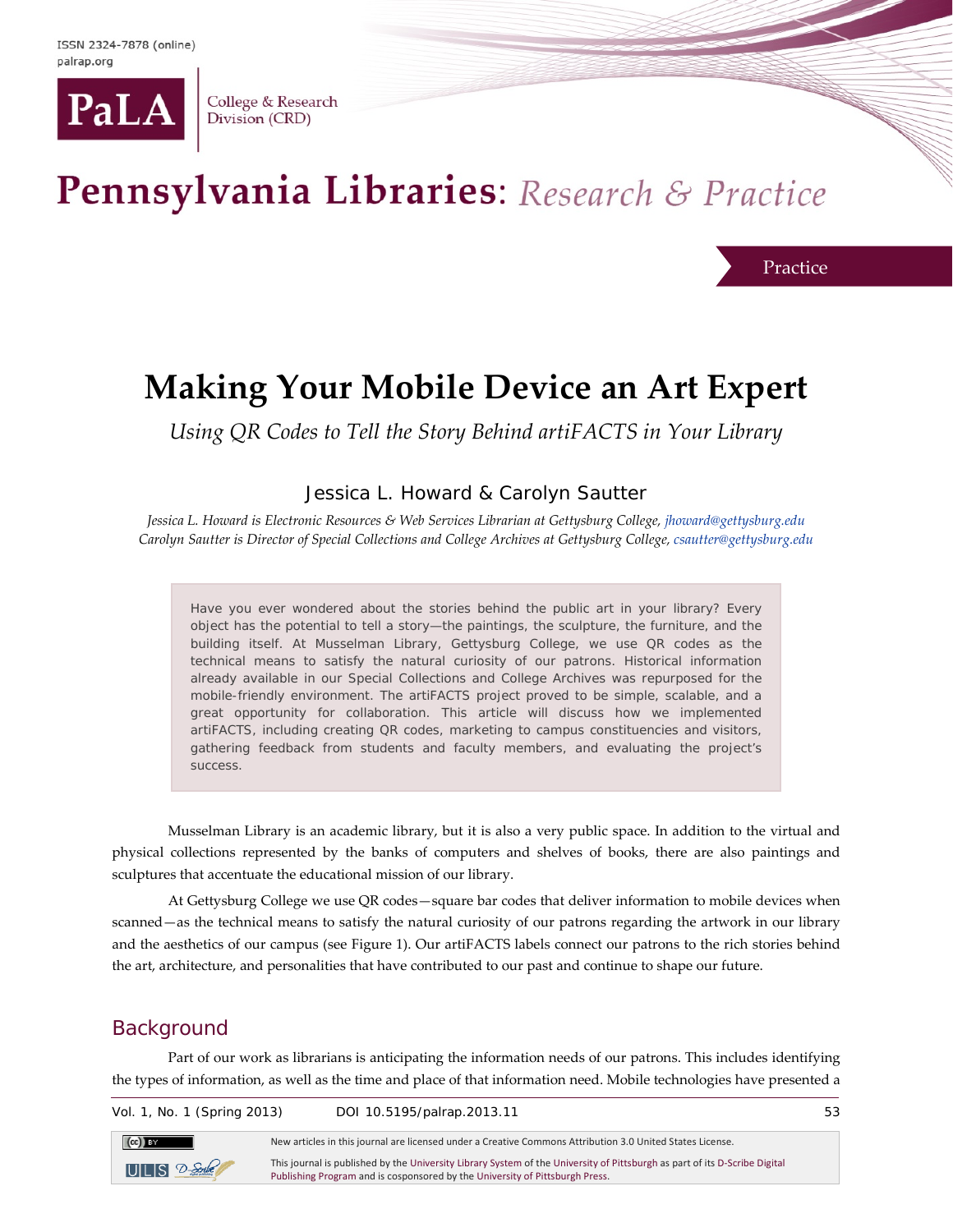

College & Research Division (CRD)

# Pennsylvania Libraries: Research & Practice

Practice

## **Making Your Mobile Device an Art Expert**

*Using QR Codes to Tell the Story Behind artiFACTS in Your Library*

### Jessica L. Howard & Carolyn Sautter

*Jessica L. Howard is Electronic Resources & Web Services Librarian at Gettysburg College[, jhoward@gettysburg.edu](mailto:jhoward@gettysburg.edu) Carolyn Sautter is Director of Special Collections and College Archives at Gettysburg College, [csautter@gettysburg.edu](mailto:csautter@gettysburg.edu)*

Have you ever wondered about the stories behind the public art in your library? Every object has the potential to tell a story—the paintings, the sculpture, the furniture, and the building itself. At Musselman Library, Gettysburg College, we use QR codes as the technical means to satisfy the natural curiosity of our patrons. Historical information already available in our Special Collections and College Archives was repurposed for the mobile-friendly environment. The artiFACTS project proved to be simple, scalable, and a great opportunity for collaboration. This article will discuss how we implemented artiFACTS, including creating QR codes, marketing to campus constituencies and visitors, gathering feedback from students and faculty members, and evaluating the project's success.

Musselman Library is an academic library, but it is also a very public space. In addition to the virtual and physical collections represented by the banks of computers and shelves of books, there are also paintings and sculptures that accentuate the educational mission of our library.

At Gettysburg College we use QR codes—square bar codes that deliver information to mobile devices when scanned—as the technical means to satisfy the natural curiosity of our patrons regarding the artwork in our library and the aesthetics of our campus (see Figure 1). Our artiFACTS labels connect our patrons to the rich stories behind the art, architecture, and personalities that have contributed to our past and continue to shape our future.

### **Background**

Part of our work as librarians is anticipating the information needs of our patrons. This includes identifying the types of information, as well as the time and place of that information need. Mobile technologies have presented a

| Vol. 1, No. 1 (Spring 2013)   | DOI 10.5195/palrap.2013.11                                                                                                                                                                                 | 53 |
|-------------------------------|------------------------------------------------------------------------------------------------------------------------------------------------------------------------------------------------------------|----|
| $\left(\mathrm{cc}\right)$ BY | New articles in this journal are licensed under a Creative Commons Attribution 3.0 United States License.                                                                                                  |    |
| $UILS$ $2-$ Sorbe             | This journal is published by the University Library System of the University of Pittsburgh as part of its D-Scribe Digital<br>Publishing Program and is cosponsored by the University of Pittsburgh Press. |    |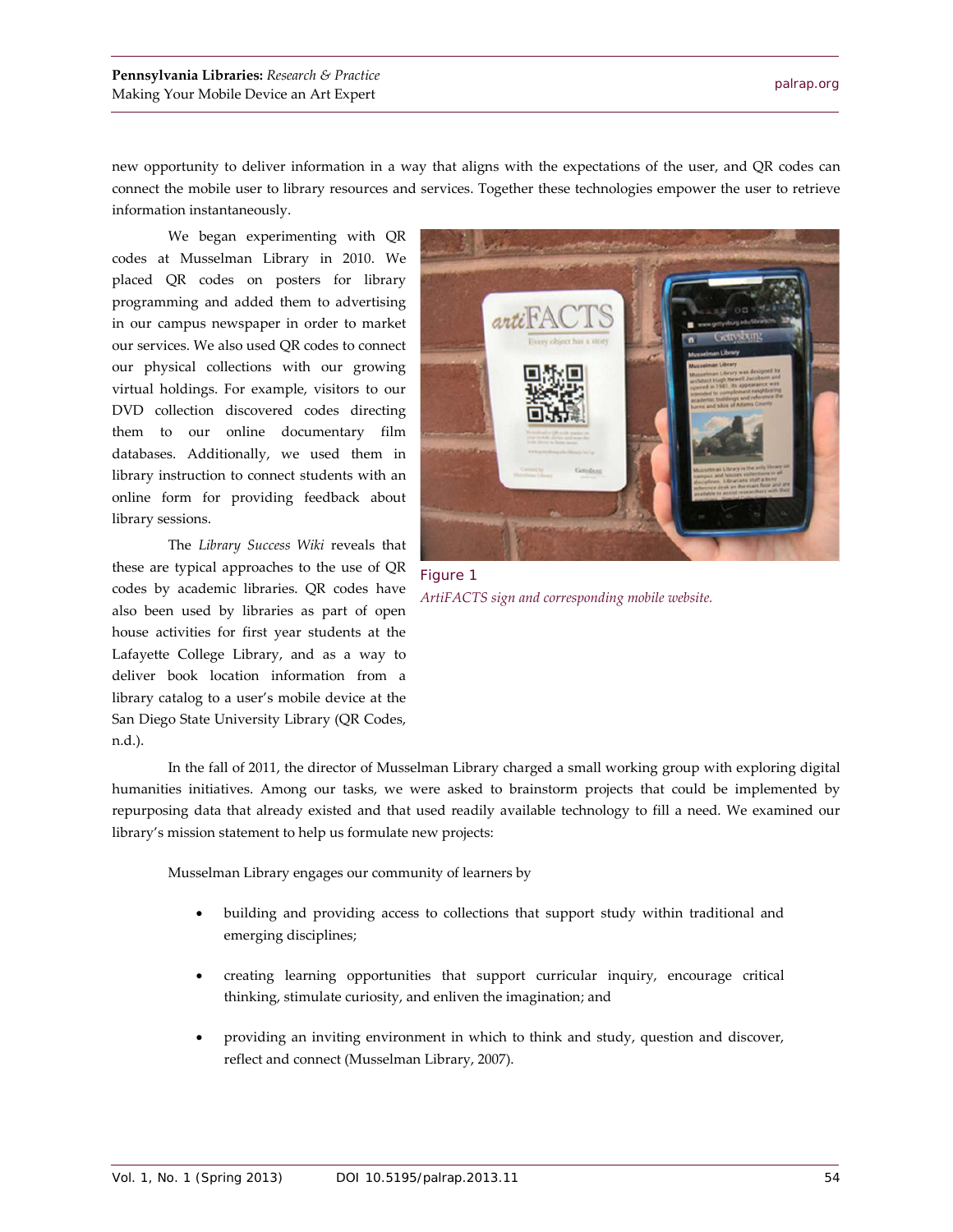new opportunity to deliver information in a way that aligns with the expectations of the user, and QR codes can connect the mobile user to library resources and services. Together these technologies empower the user to retrieve information instantaneously.

We began experimenting with QR codes at Musselman Library in 2010. We placed QR codes on posters for library programming and added them to advertising in our campus newspaper in order to market our services. We also used QR codes to connect our physical collections with our growing virtual holdings. For example, visitors to our DVD collection discovered codes directing them to our online documentary film databases. Additionally, we used them in library instruction to connect students with an online form for providing feedback about library sessions.

The *Library Success Wiki* reveals that these are typical approaches to the use of QR codes by academic libraries. QR codes have also been used by libraries as part of open house activities for first year students at the Lafayette College Library, and as a way to deliver book location information from a library catalog to a user's mobile device at the San Diego State University Library (QR Codes, n.d.).



Figure 1 *ArtiFACTS sign and corresponding mobile website.*

In the fall of 2011, the director of Musselman Library charged a small working group with exploring digital humanities initiatives. Among our tasks, we were asked to brainstorm projects that could be implemented by repurposing data that already existed and that used readily available technology to fill a need. We examined our library's mission statement to help us formulate new projects:

Musselman Library engages our community of learners by

- building and providing access to collections that support study within traditional and emerging disciplines;
- creating learning opportunities that support curricular inquiry, encourage critical thinking, stimulate curiosity, and enliven the imagination; and
- providing an inviting environment in which to think and study, question and discover, reflect and connect (Musselman Library, 2007).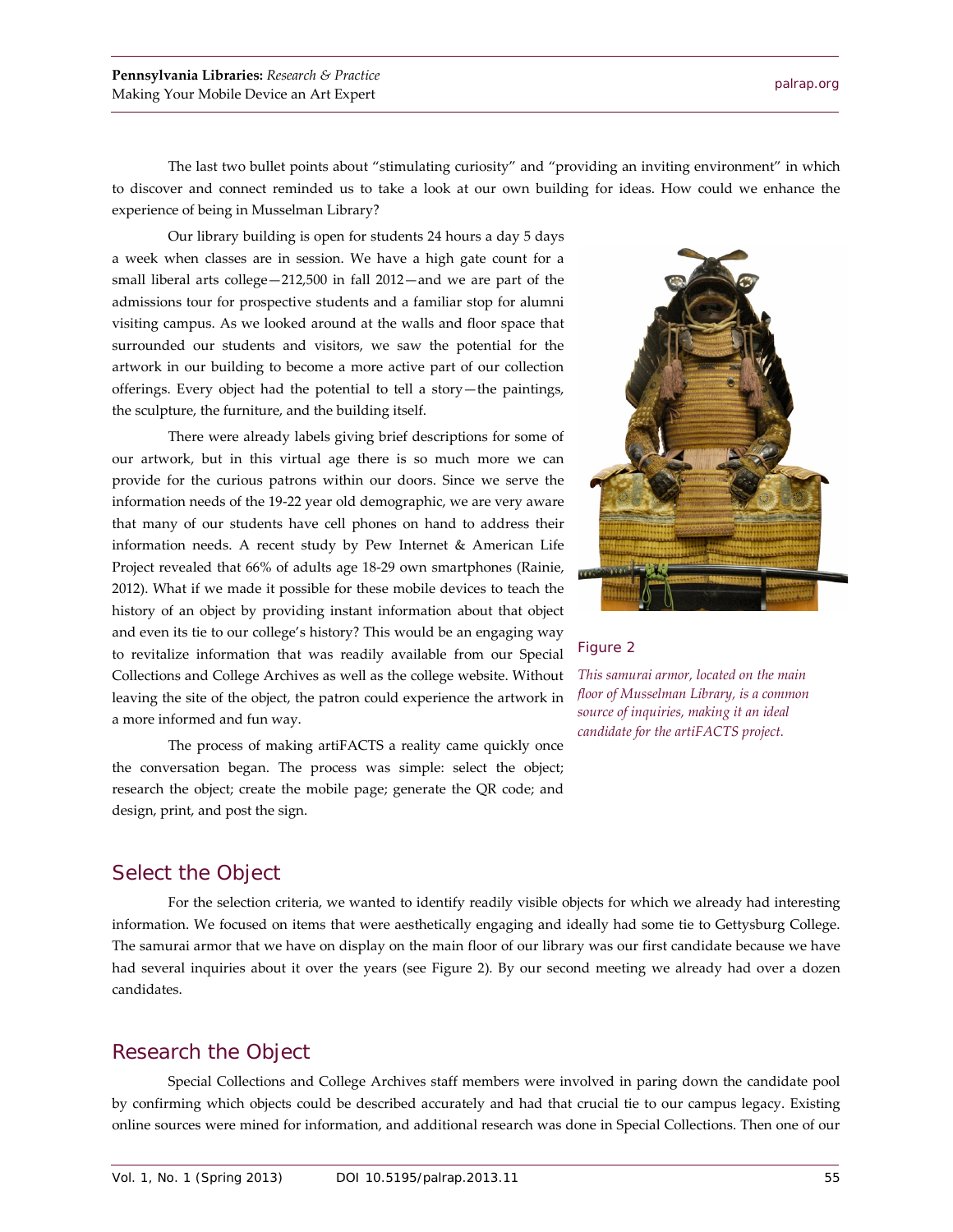The last two bullet points about "stimulating curiosity" and "providing an inviting environment" in which to discover and connect reminded us to take a look at our own building for ideas. How could we enhance the experience of being in Musselman Library?

Our library building is open for students 24 hours a day 5 days a week when classes are in session. We have a high gate count for a small liberal arts college—212,500 in fall 2012—and we are part of the admissions tour for prospective students and a familiar stop for alumni visiting campus. As we looked around at the walls and floor space that surrounded our students and visitors, we saw the potential for the artwork in our building to become a more active part of our collection offerings. Every object had the potential to tell a story—the paintings, the sculpture, the furniture, and the building itself.

There were already labels giving brief descriptions for some of our artwork, but in this virtual age there is so much more we can provide for the curious patrons within our doors. Since we serve the information needs of the 19-22 year old demographic, we are very aware that many of our students have cell phones on hand to address their information needs. A recent study by Pew Internet & American Life Project revealed that 66% of adults age 18-29 own smartphones (Rainie, 2012). What if we made it possible for these mobile devices to teach the history of an object by providing instant information about that object and even its tie to our college's history? This would be an engaging way to revitalize information that was readily available from our Special Collections and College Archives as well as the college website. Without leaving the site of the object, the patron could experience the artwork in a more informed and fun way.

The process of making artiFACTS a reality came quickly once the conversation began. The process was simple: select the object; research the object; create the mobile page; generate the QR code; and design, print, and post the sign.



#### Figure 2

*This samurai armor, located on the main floor of Musselman Library, is a common source of inquiries, making it an ideal candidate for the artiFACTS project.*

#### Select the Object

For the selection criteria, we wanted to identify readily visible objects for which we already had interesting information. We focused on items that were aesthetically engaging and ideally had some tie to Gettysburg College. The samurai armor that we have on display on the main floor of our library was our first candidate because we have had several inquiries about it over the years (see Figure 2). By our second meeting we already had over a dozen candidates.

#### Research the Object

Special Collections and College Archives staff members were involved in paring down the candidate pool by confirming which objects could be described accurately and had that crucial tie to our campus legacy. Existing online sources were mined for information, and additional research was done in Special Collections. Then one of our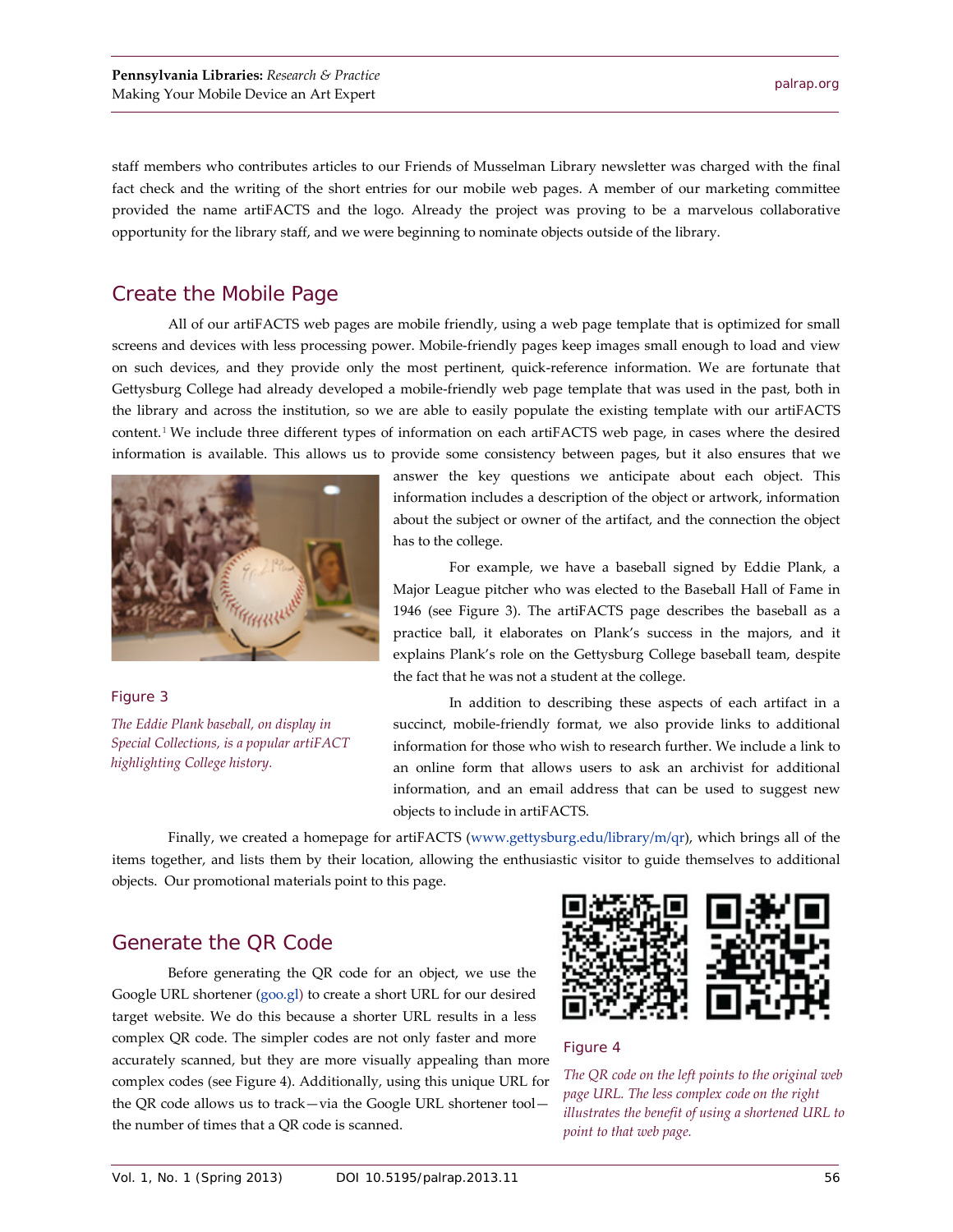staff members who contributes articles to our Friends of Musselman Library newsletter was charged with the final fact check and the writing of the short entries for our mobile web pages. A member of our marketing committee provided the name artiFACTS and the logo. Already the project was proving to be a marvelous collaborative opportunity for the library staff, and we were beginning to nominate objects outside of the library.

## Create the Mobile Page

All of our artiFACTS web pages are mobile friendly, using a web page template that is optimized for small screens and devices with less processing power. Mobile-friendly pages keep images small enough to load and view on such devices, and they provide only the most pertinent, quick-reference information. We are fortunate that Gettysburg College had already developed a mobile-friendly web page template that was used in the past, both in the library and across the institution, so we are able to easily populate the existing template with our artiFACTS content.[1](#page-6-0) We include three different types of information on each artiFACTS web page, in cases where the desired information is available. This allows us to provide some consistency between pages, but it also ensures that we



Figure 3 *The Eddie Plank baseball, on display in Special Collections, is a popular artiFACT highlighting College history.*

answer the key questions we anticipate about each object. This information includes a description of the object or artwork, information about the subject or owner of the artifact, and the connection the object has to the college.

For example, we have a baseball signed by Eddie Plank, a Major League pitcher who was elected to the Baseball Hall of Fame in 1946 (see Figure 3). The artiFACTS page describes the baseball as a practice ball, it elaborates on Plank's success in the majors, and it explains Plank's role on the Gettysburg College baseball team, despite the fact that he was not a student at the college.

In addition to describing these aspects of each artifact in a succinct, mobile-friendly format, we also provide links to additional information for those who wish to research further. We include a link to an online form that allows users to ask an archivist for additional information, and an email address that can be used to suggest new objects to include in artiFACTS.

Finally, we created a homepage for artiFACTS [\(www.gettysburg.edu/library/m/qr\)](http://www.gettysburg.edu/library/m/qr), which brings all of the items together, and lists them by their location, allowing the enthusiastic visitor to guide themselves to additional objects. Our promotional materials point to this page.

## Generate the QR Code

Before generating the QR code for an object, we use the Google URL shortener [\(goo.gl\)](http://goo.gl/) to create a short URL for our desired target website. We do this because a shorter URL results in a less complex QR code. The simpler codes are not only faster and more accurately scanned, but they are more visually appealing than more complex codes (see Figure 4). Additionally, using this unique URL for the QR code allows us to track—via the Google URL shortener tool the number of times that a QR code is scanned.



#### Figure 4

*The QR code on the left points to the original web page URL. The less complex code on the right illustrates the benefit of using a shortened URL to point to that web page.*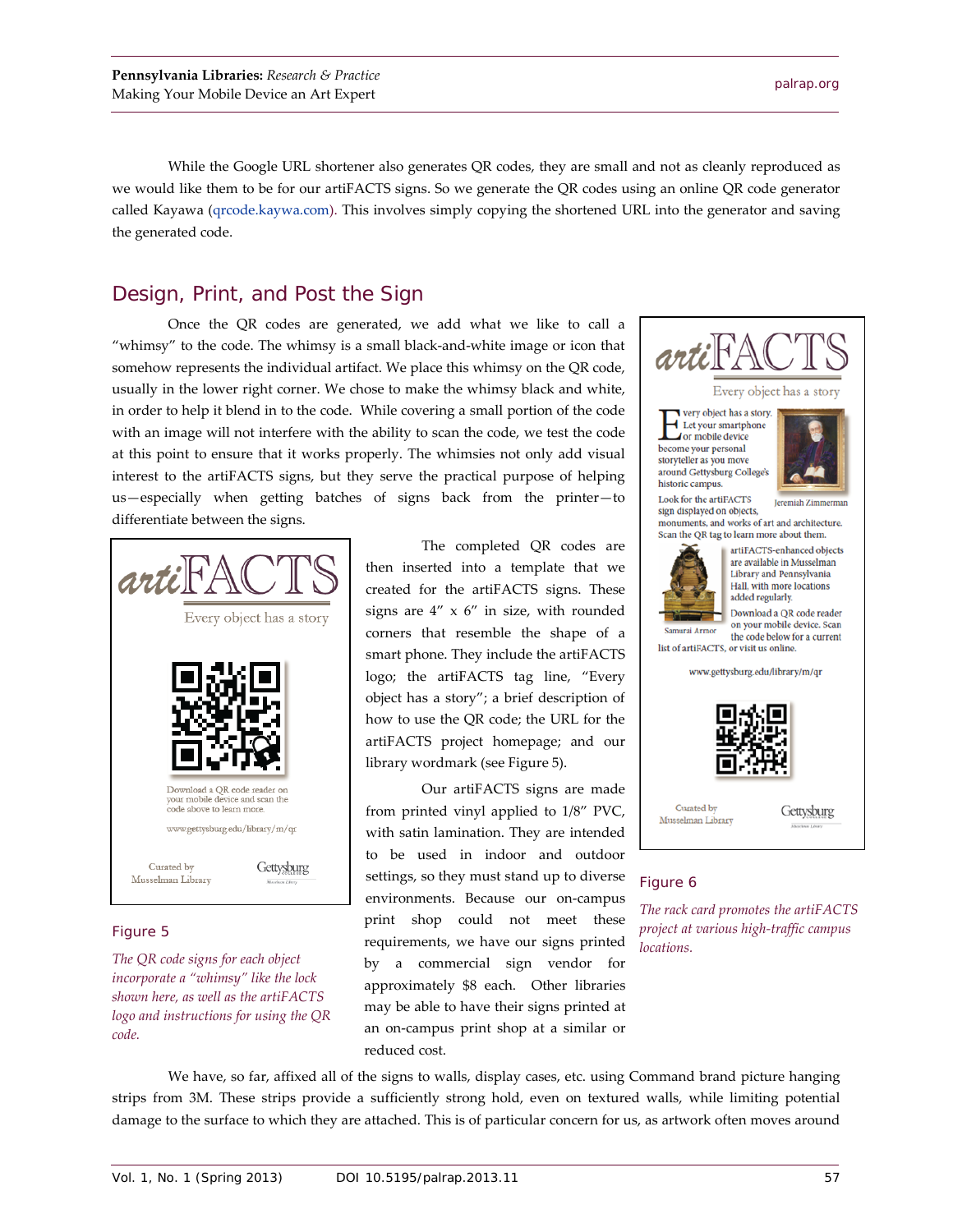While the Google URL shortener also generates QR codes, they are small and not as cleanly reproduced as we would like them to be for our artiFACTS signs. So we generate the QR codes using an online QR code generator called Kayawa [\(qrcode.kaywa.com\)](http://qrcode.kaywa.com/). This involves simply copying the shortened URL into the generator and saving the generated code.

## Design, Print, and Post the Sign

Once the QR codes are generated, we add what we like to call a "whimsy" to the code. The whimsy is a small black-and-white image or icon that somehow represents the individual artifact. We place this whimsy on the QR code, usually in the lower right corner. We chose to make the whimsy black and white, in order to help it blend in to the code. While covering a small portion of the code with an image will not interfere with the ability to scan the code, we test the code at this point to ensure that it works properly. The whimsies not only add visual interest to the artiFACTS signs, but they serve the practical purpose of helping us—especially when getting batches of signs back from the printer—to differentiate between the signs.



#### Figure 5

*The QR code signs for each object incorporate a "whimsy" like the lock shown here, as well as the artiFACTS logo and instructions for using the QR code.*

The completed QR codes are then inserted into a template that we created for the artiFACTS signs. These signs are 4" x 6" in size, with rounded corners that resemble the shape of a smart phone. They include the artiFACTS logo; the artiFACTS tag line, "Every object has a story"; a brief description of how to use the QR code; the URL for the artiFACTS project homepage; and our library wordmark (see Figure 5).

Our artiFACTS signs are made from printed vinyl applied to 1/8" PVC, with satin lamination. They are intended to be used in indoor and outdoor settings, so they must stand up to diverse environments. Because our on-campus print shop could not meet these requirements, we have our signs printed by a commercial sign vendor for approximately \$8 each. Other libraries may be able to have their signs printed at an on-campus print shop at a similar or reduced cost.



#### Figure 6

*The rack card promotes the artiFACTS project at various high-traffic campus locations.*

We have, so far, affixed all of the signs to walls, display cases, etc. using Command brand picture hanging strips from 3M. These strips provide a sufficiently strong hold, even on textured walls, while limiting potential damage to the surface to which they are attached. This is of particular concern for us, as artwork often moves around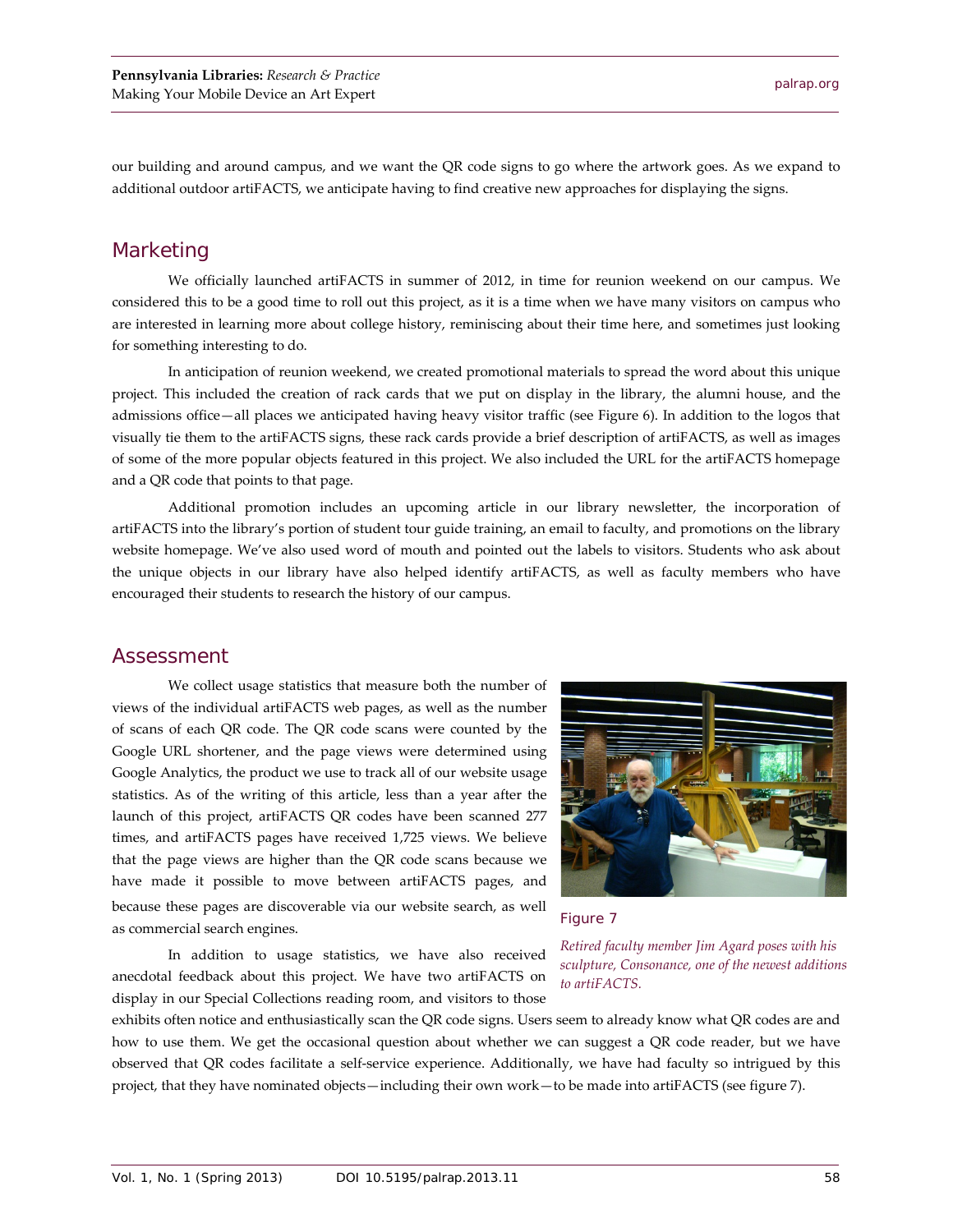our building and around campus, and we want the QR code signs to go where the artwork goes. As we expand to additional outdoor artiFACTS, we anticipate having to find creative new approaches for displaying the signs.

#### Marketing

We officially launched artiFACTS in summer of 2012, in time for reunion weekend on our campus. We considered this to be a good time to roll out this project, as it is a time when we have many visitors on campus who are interested in learning more about college history, reminiscing about their time here, and sometimes just looking for something interesting to do.

In anticipation of reunion weekend, we created promotional materials to spread the word about this unique project. This included the creation of rack cards that we put on display in the library, the alumni house, and the admissions office—all places we anticipated having heavy visitor traffic (see Figure 6). In addition to the logos that visually tie them to the artiFACTS signs, these rack cards provide a brief description of artiFACTS, as well as images of some of the more popular objects featured in this project. We also included the URL for the artiFACTS homepage and a QR code that points to that page.

Additional promotion includes an upcoming article in our library newsletter, the incorporation of artiFACTS into the library's portion of student tour guide training, an email to faculty, and promotions on the library website homepage. We've also used word of mouth and pointed out the labels to visitors. Students who ask about the unique objects in our library have also helped identify artiFACTS, as well as faculty members who have encouraged their students to research the history of our campus.

#### Assessment

We collect usage statistics that measure both the number of views of the individual artiFACTS web pages, as well as the number of scans of each QR code. The QR code scans were counted by the Google URL shortener, and the page views were determined using Google Analytics, the product we use to track all of our website usage statistics. As of the writing of this article, less than a year after the launch of this project, artiFACTS QR codes have been scanned 277 times, and artiFACTS pages have received 1,725 views. We believe that the page views are higher than the QR code scans because we have made it possible to move between artiFACTS pages, and because these pages are discoverable via our website search, as well as commercial search engines.

In addition to usage statistics, we have also received anecdotal feedback about this project. We have two artiFACTS on display in our Special Collections reading room, and visitors to those





*Retired faculty member Jim Agard poses with his sculpture, Consonance, one of the newest additions to artiFACTS.*

exhibits often notice and enthusiastically scan the QR code signs. Users seem to already know what QR codes are and how to use them. We get the occasional question about whether we can suggest a QR code reader, but we have observed that QR codes facilitate a self-service experience. Additionally, we have had faculty so intrigued by this project, that they have nominated objects—including their own work—to be made into artiFACTS (see figure 7).